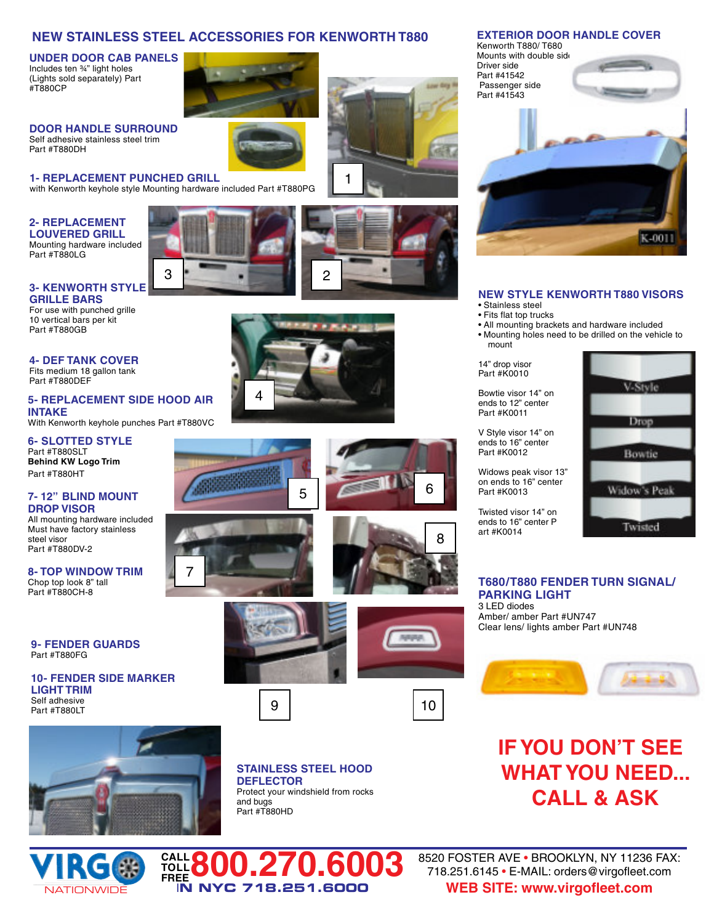### **NEW STAINLESS STEEL ACCESSORIES FOR KENWORTH T880**

3 **2** 2

4

**UNDER DOOR CAB PANELS** Includes ten ¾" light holes (Lights sold separately) Part #T880CP

**DOOR HANDLE SURROUND** Self adhesive stainless steel trim **Part #T880DH** 

**1- REPLACEMENT PUNCHED GRILL** with Kenworth keyhole style Mounting hardware included Part #T880PG

### **2- REPLACEMENT LOUVERED GRILL**

Mounting hardware included Part #T880LG

### **3- KENWORTH STYLE GRILLE BARS**

For use with punched grille 10 vertical bars per kit Part #T880GB

#### **4- DEF TANK COVER** Fits medium 18 gallon tank Part #T880DEF

**5- REPLACEMENT SIDE HOOD AIR INTAKE** With Kenworth keyhole punches Part #T880VC

**6- SLOTTED STYLE** Part #T880SLT **Behind KW Logo Trim** Part #T880HT

#### **7- 12" BLIND MOUNT DROP VISOR**

All mounting hardware included Must have factory stainless steel visor Part #T880DV-2

#### **8- TOP WINDOW TRIM** Chop top look 8" tall Part #T880CH-8

**9- FENDER GUARDS** Part #T880FG

**10- FENDER SIDE MARKER LIGHT TRIM** Self adhesive Part #T880LT



**CALL TOLL**

7







 $5 \mid 6$ 

1

9 | 10



8

**STAINLESS STEEL HOOD DEFLECTOR** Protect your windshield from rocks and bugs Part #T880HD

### **EXTERIOR DOOR HANDLE COVER**

Kenworth T880/ T680 Mounts with double side Driver side Part #41542 Passenger side Part #41543



### **NEW STYLE KENWORTH T880 VISORS**

- Stainless steel
- Fits flat top trucks
- All mounting brackets and hardware included • Mounting holes need to be drilled on the vehicle to mount

14" drop visor Part #K0010

Bowtie visor 14" on ends to 12" center Part #K0011

V Style visor 14" on ends to 16" center Part #K0012

Widows peak visor 13" on ends to 16" center Part #K0013

Twisted visor 14" on ends to 16" center P art #K0014



**T680/T880 FENDER TURN SIGNAL/ PARKING LIGHT** 3 LED diodes Amber/ amber Part #UN747

Clear lens/ lights amber Part #UN748



# **IF YOU DON'T SEE WHAT YOU NEED... CALL & ASK**

**FREE800.270.6003** I**N NYC 718.251.6000** 8520 FOSTER AVE • BROOKLYN, NY 11236 FAX: 718.251.6145 • E-MAIL: orders@virgofleet.com **WEB SITE: www.virgofleet.com**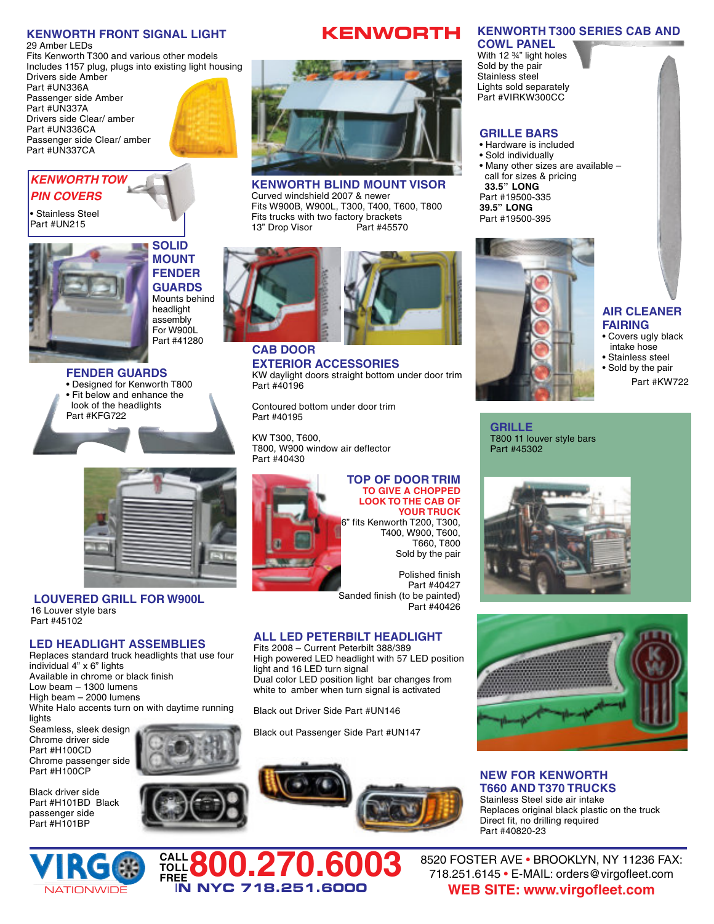### **KENWORTH FRONT SIGNAL LIGHT**

29 Amber LEDs Fits Kenworth T300 and various other models Includes 1157 plug, plugs into existing light housing Drivers side Amber Part #UN336A Passenger side Amber Part #UN337A Drivers side Clear/ amber Part #UN336CA Passenger side Clear/ amber Part #UN337CA



## *KENWORTH TOW PIN COVERS*

• Stainless Steel Part #UN215



**SOLID MOUNT FENDER GUARDS** Mounts behind headlight assembly For W900L Part #41280

**FENDER GUARDS** • Designed for Kenworth T800 • Fit below and enhance the look of the headlights Part #KFG722



**LOUVERED GRILL FOR W900L** 16 Louver style bars Part #45102

### **LED HEADLIGHT ASSEMBLIES**

Replaces standard truck headlights that use four individual 4" x 6" lights Available in chrome or black finish Low beam – 1300 lumens High beam – 2000 lumens White Halo accents turn on with daytime running lights

Seamless, sleek design Chrome driver side Part #H100CD Chrome passenger side Part #H100CP

Black driver side Part #H101BD Black passenger side Part #H101BP



**CALL TOLL**









**KENWORTH BLIND MOUNT VISOR** Curved windshield 2007 & newer Fits W900B, W900L, T300, T400, T600, T800 Fits trucks with two factory brackets<br>13" Drop Visor Part #45570 13" Drop Visor



**CAB DOOR EXTERIOR ACCESSORIES** KW daylight doors straight bottom under door trim Part #40196

Contoured bottom under door trim Part #40195

KW T300, T600, T800, W900 window air deflector Part #40430



#### **TOP OF DOOR TRIM TO GIVE A CHOPPED LOOK TO THE CAB OF YOUR TRUCK**

6" fits Kenworth T200, T300, T400, W900, T600, T660, T800 Sold by the pair

Polished finish Part #40427 Sanded finish (to be painted) Part #40426

### **ALL LED PETERBILT HEADLIGHT**

Fits 2008 – Current Peterbilt 388/389 High powered LED headlight with 57 LED position light and 16 LED turn signal Dual color LED position light bar changes from white to amber when turn signal is activated

Black out Driver Side Part #UN146

**FREE800.270.6003**

I**N NYC 718.251.6000**

Black out Passenger Side Part #UN147





#### **AIR CLEANER FAIRING**

- Covers ugly black intake hose
- Stainless steel • Sold by the pair
	- Part #KW722

**GRILLE** T800 11 louver style bars Part #45302





**NEW FOR KENWORTH T660 AND T370 TRUCKS** Stainless Steel side air intake Replaces original black plastic on the truck Direct fit, no drilling required Part #40820-23

8520 FOSTER AVE • BROOKLYN, NY 11236 FAX: 718.251.6145 • E-MAIL: orders@virgofleet.com **WEB SITE: www.virgofleet.com**

### **KENWORTH T300 SERIES CAB AND**

**COWL PANEL** With 12 ¾" light holes Sold by the pair Stainless steel Lights sold separately Part #VIRKW300CC

### **GRILLE BARS**

• Hardware is included • Sold individually • Many other sizes are available – call for sizes & pricing **33.5" LONG** Part #19500-335 **39.5" LONG** Part #19500-395